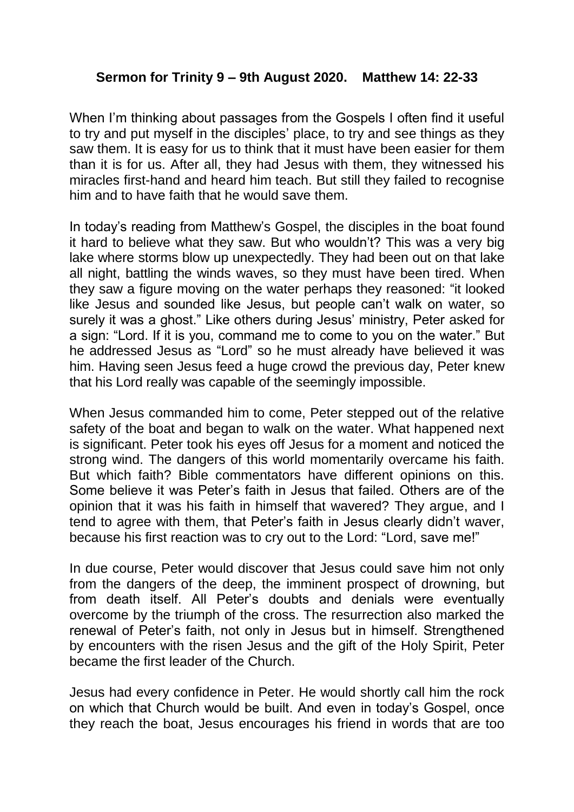## **Sermon for Trinity 9 – 9th August 2020. Matthew 14: 22-33**

When I'm thinking about passages from the Gospels I often find it useful to try and put myself in the disciples' place, to try and see things as they saw them. It is easy for us to think that it must have been easier for them than it is for us. After all, they had Jesus with them, they witnessed his miracles first-hand and heard him teach. But still they failed to recognise him and to have faith that he would save them.

In today's reading from Matthew's Gospel, the disciples in the boat found it hard to believe what they saw. But who wouldn't? This was a very big lake where storms blow up unexpectedly. They had been out on that lake all night, battling the winds waves, so they must have been tired. When they saw a figure moving on the water perhaps they reasoned: "it looked like Jesus and sounded like Jesus, but people can't walk on water, so surely it was a ghost." Like others during Jesus' ministry, Peter asked for a sign: "Lord. If it is you, command me to come to you on the water." But he addressed Jesus as "Lord" so he must already have believed it was him. Having seen Jesus feed a huge crowd the previous day, Peter knew that his Lord really was capable of the seemingly impossible.

When Jesus commanded him to come, Peter stepped out of the relative safety of the boat and began to walk on the water. What happened next is significant. Peter took his eyes off Jesus for a moment and noticed the strong wind. The dangers of this world momentarily overcame his faith. But which faith? Bible commentators have different opinions on this. Some believe it was Peter's faith in Jesus that failed. Others are of the opinion that it was his faith in himself that wavered? They argue, and I tend to agree with them, that Peter's faith in Jesus clearly didn't waver, because his first reaction was to cry out to the Lord: "Lord, save me!"

In due course, Peter would discover that Jesus could save him not only from the dangers of the deep, the imminent prospect of drowning, but from death itself. All Peter's doubts and denials were eventually overcome by the triumph of the cross. The resurrection also marked the renewal of Peter's faith, not only in Jesus but in himself. Strengthened by encounters with the risen Jesus and the gift of the Holy Spirit, Peter became the first leader of the Church.

Jesus had every confidence in Peter. He would shortly call him the rock on which that Church would be built. And even in today's Gospel, once they reach the boat, Jesus encourages his friend in words that are too